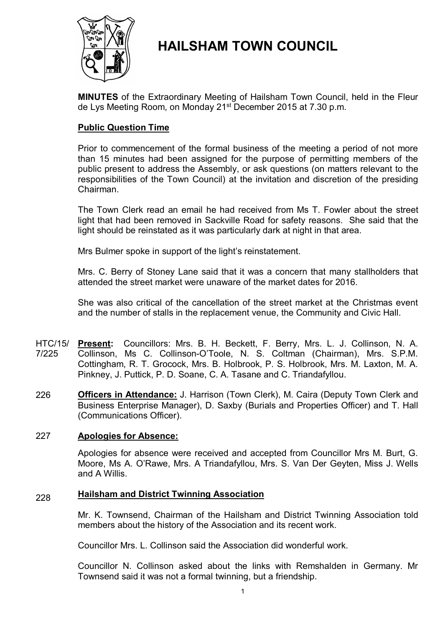

# **HAILSHAM TOWN COUNCIL**

**MINUTES** of the Extraordinary Meeting of Hailsham Town Council, held in the Fleur de Lys Meeting Room, on Monday 21<sup>st</sup> December 2015 at 7.30 p.m.

# **Public Question Time**

Prior to commencement of the formal business of the meeting a period of not more than 15 minutes had been assigned for the purpose of permitting members of the public present to address the Assembly, or ask questions (on matters relevant to the responsibilities of the Town Council) at the invitation and discretion of the presiding Chairman.

The Town Clerk read an email he had received from Ms T. Fowler about the street light that had been removed in Sackville Road for safety reasons. She said that the light should be reinstated as it was particularly dark at night in that area.

Mrs Bulmer spoke in support of the light's reinstatement.

Mrs. C. Berry of Stoney Lane said that it was a concern that many stallholders that attended the street market were unaware of the market dates for 2016.

She was also critical of the cancellation of the street market at the Christmas event and the number of stalls in the replacement venue, the Community and Civic Hall.

- HTC/15/ **Present:** Councillors: Mrs. B. H. Beckett, F. Berry, Mrs. L. J. Collinson, N. A. 7/225 Collinson, Ms C. Collinson-O'Toole, N. S. Coltman (Chairman), Mrs. S.P.M. Cottingham, R. T. Grocock, Mrs. B. Holbrook, P. S. Holbrook, Mrs. M. Laxton, M. A. Pinkney, J. Puttick, P. D. Soane, C. A. Tasane and C. Triandafyllou.
- 226 **Officers in Attendance:** J. Harrison (Town Clerk), M. Caira (Deputy Town Clerk and Business Enterprise Manager), D. Saxby (Burials and Properties Officer) and T. Hall (Communications Officer).

#### 227 **Apologies for Absence:**

Apologies for absence were received and accepted from Councillor Mrs M. Burt, G. Moore, Ms A. O'Rawe, Mrs. A Triandafyllou, Mrs. S. Van Der Geyten, Miss J. Wells and A Willis.

### 228 **Hailsham and District Twinning Association**

Mr. K. Townsend, Chairman of the Hailsham and District Twinning Association told members about the history of the Association and its recent work.

Councillor Mrs. L. Collinson said the Association did wonderful work.

Councillor N. Collinson asked about the links with Remshalden in Germany. Mr Townsend said it was not a formal twinning, but a friendship.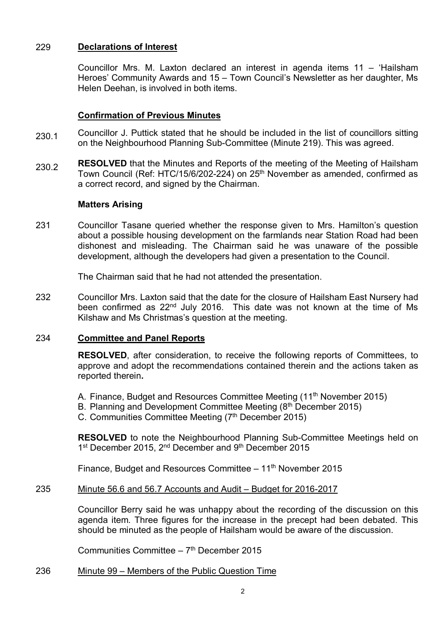# 229 **Declarations of Interest**

Councillor Mrs. M. Laxton declared an interest in agenda items 11 – 'Hailsham Heroes' Community Awards and 15 – Town Council's Newsletter as her daughter, Ms Helen Deehan, is involved in both items.

# **Confirmation of Previous Minutes**

- 230.1 Councillor J. Puttick stated that he should be included in the list of councillors sitting on the Neighbourhood Planning Sub-Committee (Minute 219). This was agreed.
- 230.2 **RESOLVED** that the Minutes and Reports of the meeting of the Meeting of Hailsham Town Council (Ref: HTC/15/6/202-224) on 25<sup>th</sup> November as amended, confirmed as a correct record, and signed by the Chairman.

# **Matters Arising**

231 Councillor Tasane queried whether the response given to Mrs. Hamilton's question about a possible housing development on the farmlands near Station Road had been dishonest and misleading. The Chairman said he was unaware of the possible development, although the developers had given a presentation to the Council.

The Chairman said that he had not attended the presentation.

232 Councillor Mrs. Laxton said that the date for the closure of Hailsham East Nursery had been confirmed as 22<sup>nd</sup> July 2016. This date was not known at the time of Ms Kilshaw and Ms Christmas's question at the meeting.

# 234 **Committee and Panel Reports**

**RESOLVED**, after consideration, to receive the following reports of Committees, to approve and adopt the recommendations contained therein and the actions taken as reported therein**.**

- A. Finance, Budget and Resources Committee Meeting (11<sup>th</sup> November 2015)
- B. Planning and Development Committee Meeting (8<sup>th</sup> December 2015)
- C. Communities Committee Meeting (7<sup>th</sup> December 2015)

**RESOLVED** to note the Neighbourhood Planning Sub-Committee Meetings held on 1<sup>st</sup> December 2015, 2<sup>nd</sup> December and 9<sup>th</sup> December 2015

Finance, Budget and Resources Committee  $-11<sup>th</sup>$  November 2015

#### 235 Minute 56.6 and 56.7 Accounts and Audit – Budget for 2016-2017

Councillor Berry said he was unhappy about the recording of the discussion on this agenda item. Three figures for the increase in the precept had been debated. This should be minuted as the people of Hailsham would be aware of the discussion.

Communities Committee - 7<sup>th</sup> December 2015

#### 236 Minute 99 – Members of the Public Question Time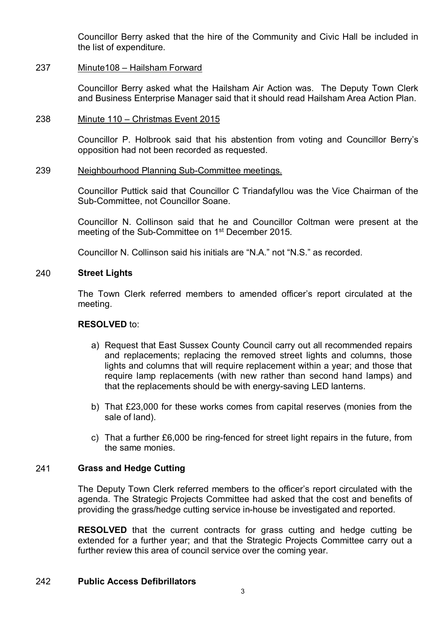Councillor Berry asked that the hire of the Community and Civic Hall be included in the list of expenditure.

#### 237 Minute108 – Hailsham Forward

Councillor Berry asked what the Hailsham Air Action was. The Deputy Town Clerk and Business Enterprise Manager said that it should read Hailsham Area Action Plan.

#### 238 Minute 110 – Christmas Event 2015

Councillor P. Holbrook said that his abstention from voting and Councillor Berry's opposition had not been recorded as requested.

#### 239 Neighbourhood Planning Sub-Committee meetings.

Councillor Puttick said that Councillor C Triandafyllou was the Vice Chairman of the Sub-Committee, not Councillor Soane.

Councillor N. Collinson said that he and Councillor Coltman were present at the meeting of the Sub-Committee on 1<sup>st</sup> December 2015.

Councillor N. Collinson said his initials are "N.A." not "N.S." as recorded.

# 240 **Street Lights**

The Town Clerk referred members to amended officer's report circulated at the meeting.

### **RESOLVED** to:

- a) Request that East Sussex County Council carry out all recommended repairs and replacements; replacing the removed street lights and columns, those lights and columns that will require replacement within a year; and those that require lamp replacements (with new rather than second hand lamps) and that the replacements should be with energy-saving LED lanterns.
- b) That £23,000 for these works comes from capital reserves (monies from the sale of land).
- c) That a further £6,000 be ring-fenced for street light repairs in the future, from the same monies.

### 241 **Grass and Hedge Cutting**

The Deputy Town Clerk referred members to the officer's report circulated with the agenda. The Strategic Projects Committee had asked that the cost and benefits of providing the grass/hedge cutting service in-house be investigated and reported.

**RESOLVED** that the current contracts for grass cutting and hedge cutting be extended for a further year; and that the Strategic Projects Committee carry out a further review this area of council service over the coming year.

# 242 **Public Access Defibrillators**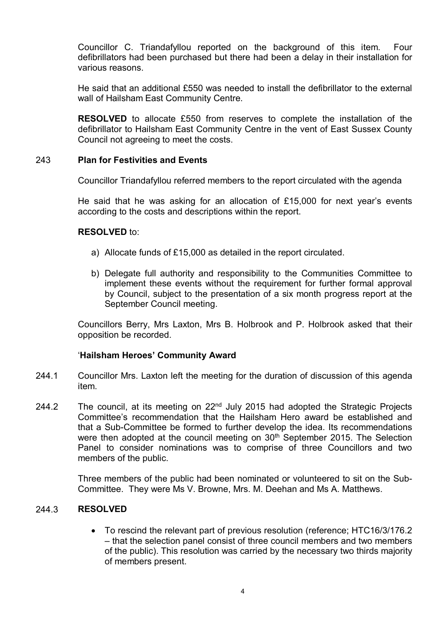Councillor C. Triandafyllou reported on the background of this item. Four defibrillators had been purchased but there had been a delay in their installation for various reasons.

He said that an additional £550 was needed to install the defibrillator to the external wall of Hailsham East Community Centre.

**RESOLVED** to allocate £550 from reserves to complete the installation of the defibrillator to Hailsham East Community Centre in the vent of East Sussex County Council not agreeing to meet the costs.

### 243 **Plan for Festivities and Events**

Councillor Triandafyllou referred members to the report circulated with the agenda

He said that he was asking for an allocation of £15,000 for next year's events according to the costs and descriptions within the report.

### **RESOLVED** to:

- a) Allocate funds of £15,000 as detailed in the report circulated.
- b) Delegate full authority and responsibility to the Communities Committee to implement these events without the requirement for further formal approval by Council, subject to the presentation of a six month progress report at the September Council meeting.

Councillors Berry, Mrs Laxton, Mrs B. Holbrook and P. Holbrook asked that their opposition be recorded.

# '**Hailsham Heroes' Community Award**

- 244.1 Councillor Mrs. Laxton left the meeting for the duration of discussion of this agenda item.
- 244.2 The council, at its meeting on 22<sup>nd</sup> July 2015 had adopted the Strategic Projects Committee's recommendation that the Hailsham Hero award be established and that a Sub-Committee be formed to further develop the idea. Its recommendations were then adopted at the council meeting on 30<sup>th</sup> September 2015. The Selection Panel to consider nominations was to comprise of three Councillors and two members of the public.

Three members of the public had been nominated or volunteered to sit on the Sub-Committee. They were Ms V. Browne, Mrs. M. Deehan and Ms A. Matthews.

#### 244.3 **RESOLVED**

 To rescind the relevant part of previous resolution (reference; HTC16/3/176.2 – that the selection panel consist of three council members and two members of the public). This resolution was carried by the necessary two thirds majority of members present.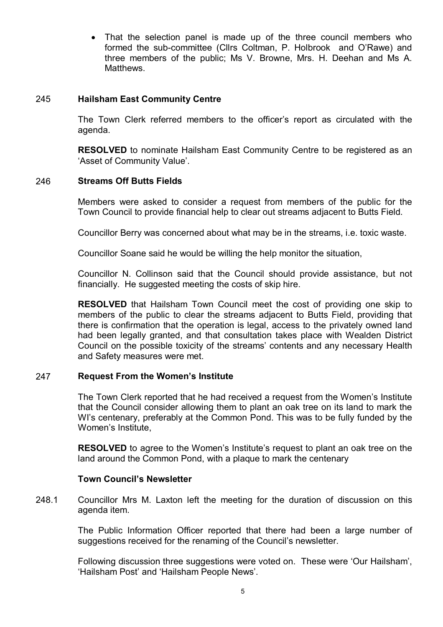• That the selection panel is made up of the three council members who formed the sub-committee (Cllrs Coltman, P. Holbrook and O'Rawe) and three members of the public; Ms V. Browne, Mrs. H. Deehan and Ms A. Matthews.

### 245 **Hailsham East Community Centre**

The Town Clerk referred members to the officer's report as circulated with the agenda.

**RESOLVED** to nominate Hailsham East Community Centre to be registered as an 'Asset of Community Value'.

### 246 **Streams Off Butts Fields**

Members were asked to consider a request from members of the public for the Town Council to provide financial help to clear out streams adjacent to Butts Field.

Councillor Berry was concerned about what may be in the streams, i.e. toxic waste.

Councillor Soane said he would be willing the help monitor the situation,

Councillor N. Collinson said that the Council should provide assistance, but not financially. He suggested meeting the costs of skip hire.

**RESOLVED** that Hailsham Town Council meet the cost of providing one skip to members of the public to clear the streams adjacent to Butts Field, providing that there is confirmation that the operation is legal, access to the privately owned land had been legally granted, and that consultation takes place with Wealden District Council on the possible toxicity of the streams' contents and any necessary Health and Safety measures were met.

### 247 **Request From the Women's Institute**

The Town Clerk reported that he had received a request from the Women's Institute that the Council consider allowing them to plant an oak tree on its land to mark the WI's centenary, preferably at the Common Pond. This was to be fully funded by the Women's Institute,

**RESOLVED** to agree to the Women's Institute's request to plant an oak tree on the land around the Common Pond, with a plaque to mark the centenary

### **Town Council's Newsletter**

248.1 Councillor Mrs M. Laxton left the meeting for the duration of discussion on this agenda item.

> The Public Information Officer reported that there had been a large number of suggestions received for the renaming of the Council's newsletter.

> Following discussion three suggestions were voted on. These were 'Our Hailsham', 'Hailsham Post' and 'Hailsham People News'.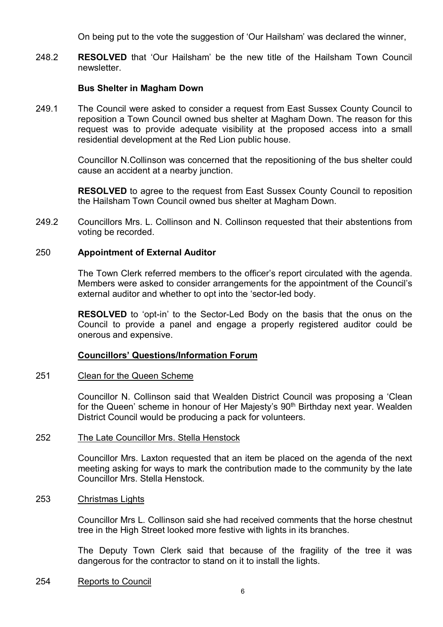On being put to the vote the suggestion of 'Our Hailsham' was declared the winner,

248.2 **RESOLVED** that 'Our Hailsham' be the new title of the Hailsham Town Council newsletter.

### **Bus Shelter in Magham Down**

249.1 The Council were asked to consider a request from East Sussex County Council to reposition a Town Council owned bus shelter at Magham Down. The reason for this request was to provide adequate visibility at the proposed access into a small residential development at the Red Lion public house.

> Councillor N.Collinson was concerned that the repositioning of the bus shelter could cause an accident at a nearby junction.

> **RESOLVED** to agree to the request from East Sussex County Council to reposition the Hailsham Town Council owned bus shelter at Magham Down.

249.2 Councillors Mrs. L. Collinson and N. Collinson requested that their abstentions from voting be recorded.

### 250 **Appointment of External Auditor**

The Town Clerk referred members to the officer's report circulated with the agenda. Members were asked to consider arrangements for the appointment of the Council's external auditor and whether to opt into the 'sector-led body.

**RESOLVED** to 'opt-in' to the Sector-Led Body on the basis that the onus on the Council to provide a panel and engage a properly registered auditor could be onerous and expensive.

### **Councillors' Questions/Information Forum**

#### 251 Clean for the Queen Scheme

Councillor N. Collinson said that Wealden District Council was proposing a 'Clean for the Queen' scheme in honour of Her Majesty's 90<sup>th</sup> Birthday next year. Wealden District Council would be producing a pack for volunteers.

#### 252 The Late Councillor Mrs. Stella Henstock

Councillor Mrs. Laxton requested that an item be placed on the agenda of the next meeting asking for ways to mark the contribution made to the community by the late Councillor Mrs. Stella Henstock.

#### 253 Christmas Lights

Councillor Mrs L. Collinson said she had received comments that the horse chestnut tree in the High Street looked more festive with lights in its branches.

The Deputy Town Clerk said that because of the fragility of the tree it was dangerous for the contractor to stand on it to install the lights.

#### 254 Reports to Council